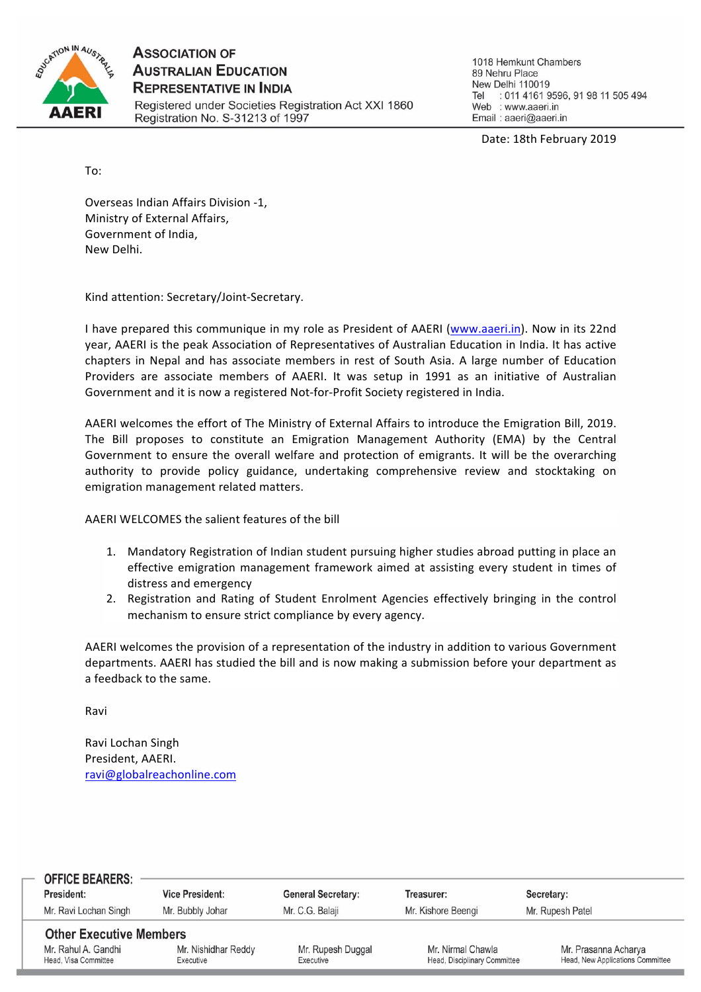

**ASSOCIATION OF AUSTRALIAN EDUCATION REPRESENTATIVE IN INDIA** Registered under Societies Registration Act XXI 1860 Registration No. S-31213 of 1997

1018 Hemkunt Chambers 89 Nehru Place New Delhi 110019 Tel : 011 4161 9596, 91 98 11 505 494 Web : www.aaeri.in Email: aaeri@aaeri.in

Date: 18th February 2019

To:

Overseas Indian Affairs Division -1, Ministry of External Affairs, Government of India, New Delhi.

Kind attention: Secretary/Joint-Secretary.

I have prepared this communique in my role as President of AAERI (www.aaeri.in). Now in its 22nd year, AAERI is the peak Association of Representatives of Australian Education in India. It has active chapters in Nepal and has associate members in rest of South Asia. A large number of Education Providers are associate members of AAERI. It was setup in 1991 as an initiative of Australian Government and it is now a registered Not-for-Profit Society registered in India.

AAERI welcomes the effort of The Ministry of External Affairs to introduce the Emigration Bill, 2019. The Bill proposes to constitute an Emigration Management Authority (EMA) by the Central Government to ensure the overall welfare and protection of emigrants. It will be the overarching authority to provide policy guidance, undertaking comprehensive review and stocktaking on emigration management related matters.

AAERI WELCOMES the salient features of the bill

- 1. Mandatory Registration of Indian student pursuing higher studies abroad putting in place an effective emigration management framework aimed at assisting every student in times of distress and emergency
- 2. Registration and Rating of Student Enrolment Agencies effectively bringing in the control mechanism to ensure strict compliance by every agency.

AAERI welcomes the provision of a representation of the industry in addition to various Government departments. AAERI has studied the bill and is now making a submission before your department as a feedback to the same.

Ravi

Ravi Lochan Singh President, AAERI. ravi@globalreachonline.com

| <b>OFFICE BEARERS:</b><br>President:        | <b>Vice President:</b>           | <b>General Secretary:</b>      | Treasurer:                                        | Secretary:                                               |  |
|---------------------------------------------|----------------------------------|--------------------------------|---------------------------------------------------|----------------------------------------------------------|--|
| Mr. Ravi Lochan Singh                       | Mr. Bubbly Johar                 | Mr. C.G. Balaji                | Mr. Kishore Beengi                                | Mr. Rupesh Patel                                         |  |
|                                             |                                  |                                |                                                   |                                                          |  |
| <b>Other Executive Members</b>              |                                  |                                |                                                   |                                                          |  |
| Mr. Rahul A. Gandhi<br>Head, Visa Committee | Mr. Nishidhar Reddy<br>Executive | Mr. Rupesh Duggal<br>Executive | Mr. Nirmal Chawla<br>Head, Disciplinary Committee | Mr. Prasanna Acharya<br>Head, New Applications Committee |  |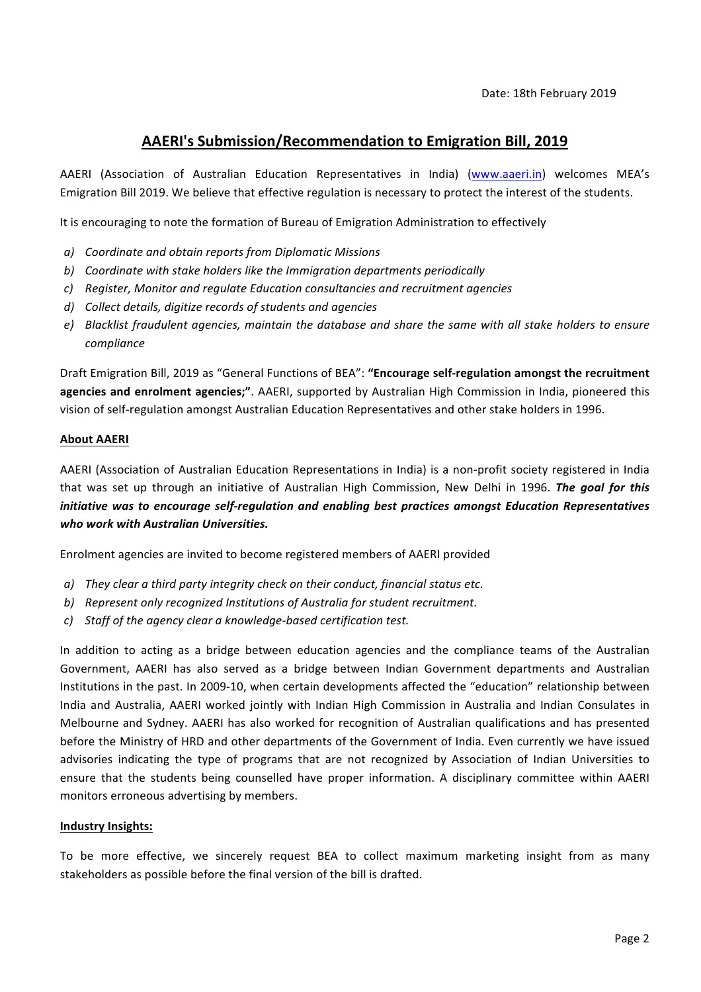# AAERI's Submission/Recommendation to Emigration Bill, 2019

AAERI (Association of Australian Education Representatives in India) (www.aaeri.in) welcomes MEA's Emigration Bill 2019. We believe that effective regulation is necessary to protect the interest of the students.

It is encouraging to note the formation of Bureau of Emigration Administration to effectively

- *a) Coordinate and obtain reports from Diplomatic Missions*
- b) Coordinate with stake holders like the Immigration departments periodically
- *c) Register, Monitor and regulate Education consultancies and recruitment agencies*
- d) Collect details, digitize records of students and agencies
- *e*) Blacklist fraudulent agencies, maintain the database and share the same with all stake holders to ensure *compliance*

Draft Emigration Bill, 2019 as "General Functions of BEA": "Encourage self-regulation amongst the recruitment agencies and enrolment agencies;". AAERI, supported by Australian High Commission in India, pioneered this vision of self-regulation amongst Australian Education Representatives and other stake holders in 1996.

### **About AAERI**

AAERI (Association of Australian Education Representations in India) is a non-profit society registered in India that was set up through an initiative of Australian High Commission, New Delhi in 1996. The goal for this *initiative* was to encourage self-regulation and enabling best practices amongst Education Representatives who work with Australian Universities.

Enrolment agencies are invited to become registered members of AAERI provided

- *a) They clear a third party integrity check on their conduct, financial status etc.*
- b) Represent only recognized Institutions of Australia for student recruitment.
- *c*) Staff of the agency clear a knowledge-based certification test.

In addition to acting as a bridge between education agencies and the compliance teams of the Australian Government, AAERI has also served as a bridge between Indian Government departments and Australian Institutions in the past. In 2009-10, when certain developments affected the "education" relationship between India and Australia, AAERI worked jointly with Indian High Commission in Australia and Indian Consulates in Melbourne and Sydney. AAERI has also worked for recognition of Australian qualifications and has presented before the Ministry of HRD and other departments of the Government of India. Even currently we have issued advisories indicating the type of programs that are not recognized by Association of Indian Universities to ensure that the students being counselled have proper information. A disciplinary committee within AAERI monitors erroneous advertising by members.

#### **Industry Insights:**

To be more effective, we sincerely request BEA to collect maximum marketing insight from as many stakeholders as possible before the final version of the bill is drafted.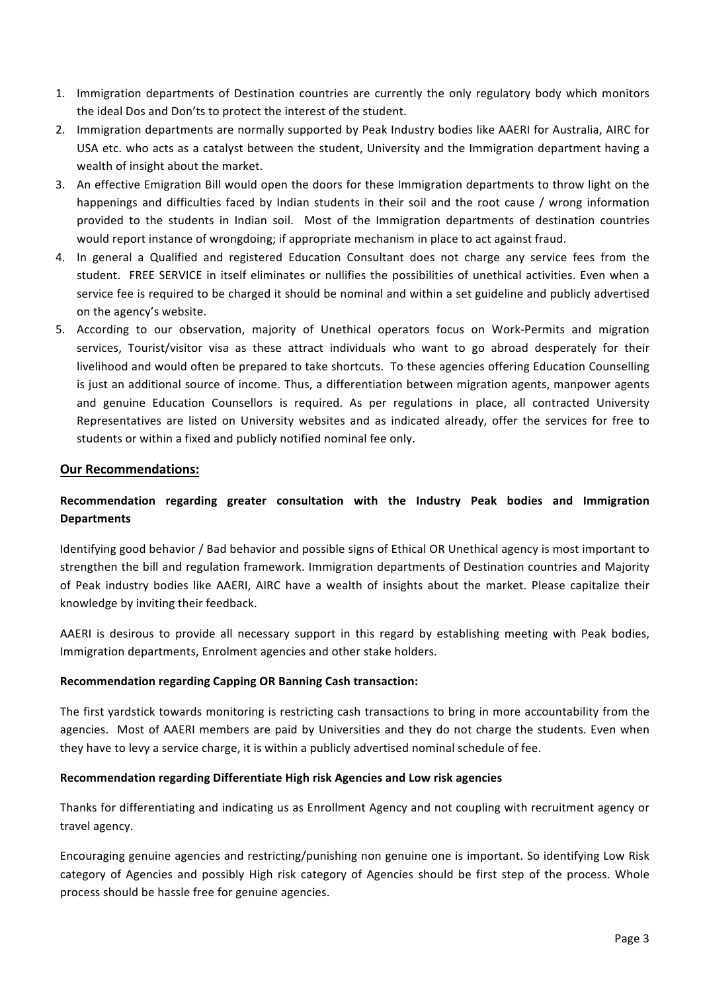- 1. Immigration departments of Destination countries are currently the only regulatory body which monitors the ideal Dos and Don'ts to protect the interest of the student.
- 2. Immigration departments are normally supported by Peak Industry bodies like AAERI for Australia, AIRC for USA etc. who acts as a catalyst between the student, University and the Immigration department having a wealth of insight about the market.
- 3. An effective Emigration Bill would open the doors for these Immigration departments to throw light on the happenings and difficulties faced by Indian students in their soil and the root cause / wrong information provided to the students in Indian soil. Most of the Immigration departments of destination countries would report instance of wrongdoing; if appropriate mechanism in place to act against fraud.
- 4. In general a Qualified and registered Education Consultant does not charge any service fees from the student. FREE SERVICE in itself eliminates or nullifies the possibilities of unethical activities. Even when a service fee is required to be charged it should be nominal and within a set guideline and publicly advertised on the agency's website.
- 5. According to our observation, majority of Unethical operators focus on Work-Permits and migration services, Tourist/visitor visa as these attract individuals who want to go abroad desperately for their livelihood and would often be prepared to take shortcuts. To these agencies offering Education Counselling is just an additional source of income. Thus, a differentiation between migration agents, manpower agents and genuine Education Counsellors is required. As per regulations in place, all contracted University Representatives are listed on University websites and as indicated already, offer the services for free to students or within a fixed and publicly notified nominal fee only.

## **Our Recommendations:**

## Recommendation regarding greater consultation with the Industry Peak bodies and Immigration **Departments**

Identifying good behavior / Bad behavior and possible signs of Ethical OR Unethical agency is most important to strengthen the bill and regulation framework. Immigration departments of Destination countries and Majority of Peak industry bodies like AAERI, AIRC have a wealth of insights about the market. Please capitalize their knowledge by inviting their feedback.

AAERI is desirous to provide all necessary support in this regard by establishing meeting with Peak bodies, Immigration departments, Enrolment agencies and other stake holders.

## **Recommendation regarding Capping OR Banning Cash transaction:**

The first yardstick towards monitoring is restricting cash transactions to bring in more accountability from the agencies. Most of AAERI members are paid by Universities and they do not charge the students. Even when they have to levy a service charge, it is within a publicly advertised nominal schedule of fee.

#### **Recommendation regarding Differentiate High risk Agencies and Low risk agencies**

Thanks for differentiating and indicating us as Enrollment Agency and not coupling with recruitment agency or travel agency.

Encouraging genuine agencies and restricting/punishing non genuine one is important. So identifying Low Risk category of Agencies and possibly High risk category of Agencies should be first step of the process. Whole process should be hassle free for genuine agencies.